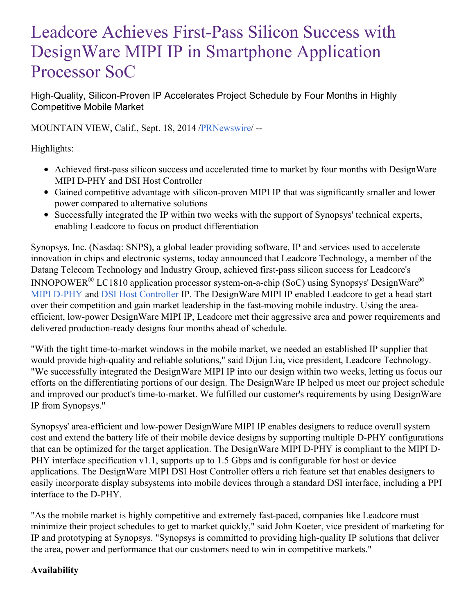# Leadcore Achieves First-Pass Silicon Success with DesignWare MIPI IP in Smartphone Application Processor SoC

High-Quality, Silicon-Proven IP Accelerates Project Schedule by Four Months in Highly Competitive Mobile Market

MOUNTAIN VIEW, Calif., Sept. 18, 2014 [/PRNewswire](http://www.prnewswire.com/)/ --

Highlights:

- Achieved first-pass silicon success and accelerated time to market by four months with DesignWare MIPI D-PHY and DSI Host Controller
- Gained competitive advantage with silicon-proven MIPI IP that was significantly smaller and lower power compared to alternative solutions
- Successfully integrated the IP within two weeks with the support of Synopsys' technical experts, enabling Leadcore to focus on product differentiation

Synopsys, Inc. (Nasdaq: SNPS), a global leader providing software, IP and services used to accelerate innovation in chips and electronic systems, today announced that Leadcore Technology, a member of the Datang Telecom Technology and Industry Group, achieved first-pass silicon success for Leadcore's INNOPOWER<sup>®</sup> LC1810 application processor system-on-a-chip (SoC) using Synopsys' DesignWare<sup>®</sup> MIPI [D-PHY](http://www.synopsys.com/dw/ipdir.php?ds=mipi_d-phy) and DSI Host [Controller](http://www.synopsys.com/dw/ipdir.php?ds=mipi_dsi) IP. The DesignWare MIPI IP enabled Leadcore to get a head start over their competition and gain market leadership in the fast-moving mobile industry. Using the areaefficient, low-power DesignWare MIPI IP, Leadcore met their aggressive area and power requirements and delivered production-ready designs four months ahead of schedule.

"With the tight time-to-market windows in the mobile market, we needed an established IP supplier that would provide high-quality and reliable solutions," said Dijun Liu, vice president, Leadcore Technology. "We successfully integrated the DesignWare MIPI IP into our design within two weeks, letting us focus our efforts on the differentiating portions of our design. The DesignWare IP helped us meet our project schedule and improved our product's time-to-market. We fulfilled our customer's requirements by using DesignWare IP from Synopsys."

Synopsys' area-efficient and low-power DesignWare MIPI IP enables designers to reduce overall system cost and extend the battery life of their mobile device designs by supporting multiple D-PHY configurations that can be optimized for the target application. The DesignWare MIPI D-PHY is compliant to the MIPI D-PHY interface specification v1.1, supports up to 1.5 Gbps and is configurable for host or device applications. The DesignWare MIPI DSI Host Controller offers a rich feature set that enables designers to easily incorporate display subsystems into mobile devices through a standard DSI interface, including a PPI interface to the D-PHY.

"As the mobile market is highly competitive and extremely fast-paced, companies like Leadcore must minimize their project schedules to get to market quickly," said John Koeter, vice president of marketing for IP and prototyping at Synopsys. "Synopsys is committed to providing high-quality IP solutions that deliver the area, power and performance that our customers need to win in competitive markets."

# **Availability**